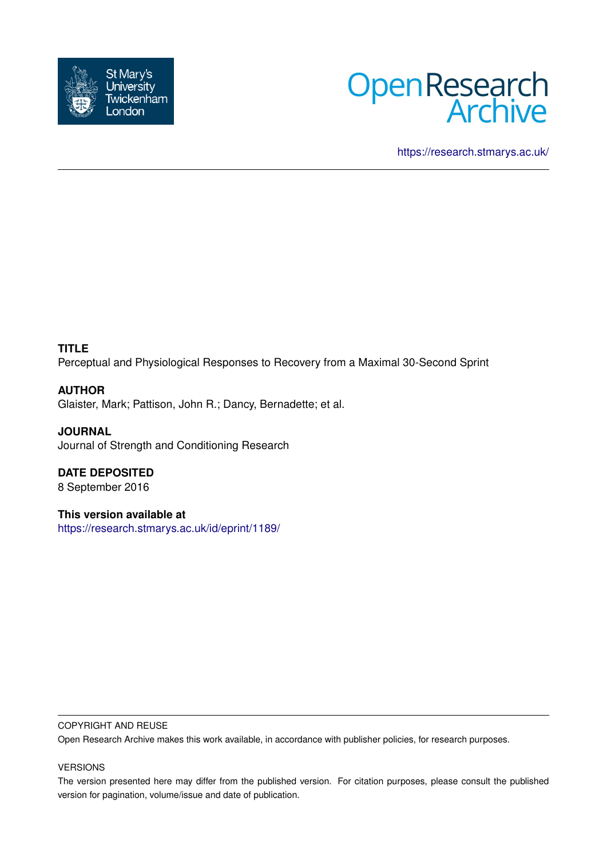



<https://research.stmarys.ac.uk/>

# **TITLE**

Perceptual and Physiological Responses to Recovery from a Maximal 30-Second Sprint

# **AUTHOR**

Glaister, Mark; Pattison, John R.; Dancy, Bernadette; et al.

**JOURNAL** Journal of Strength and Conditioning Research

**DATE DEPOSITED** 8 September 2016

**This version available at** <https://research.stmarys.ac.uk/id/eprint/1189/>

## COPYRIGHT AND REUSE

Open Research Archive makes this work available, in accordance with publisher policies, for research purposes.

## VERSIONS

The version presented here may differ from the published version. For citation purposes, please consult the published version for pagination, volume/issue and date of publication.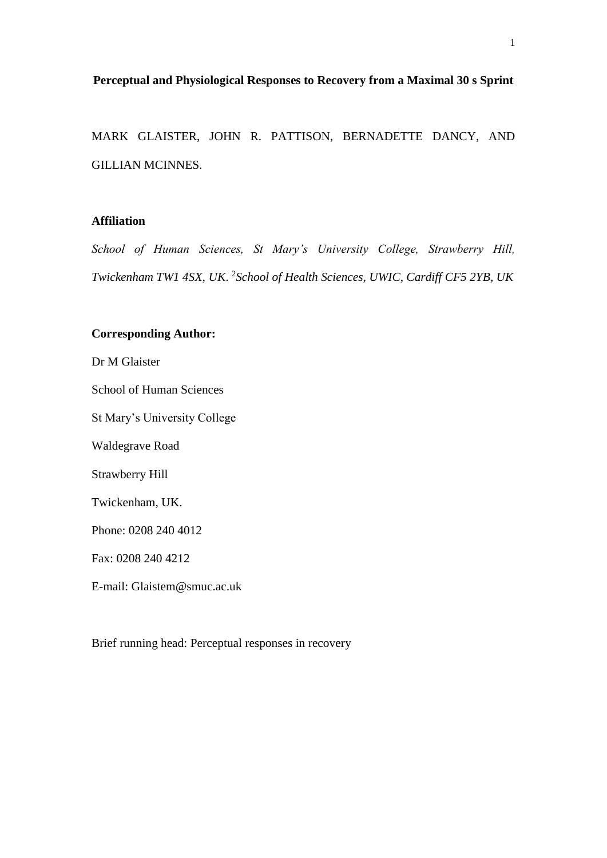# **Perceptual and Physiological Responses to Recovery from a Maximal 30 s Sprint**

MARK GLAISTER, JOHN R. PATTISON, BERNADETTE DANCY, AND GILLIAN MCINNES.

# **Affiliation**

*School of Human Sciences, St Mary's University College, Strawberry Hill, Twickenham TW1 4SX, UK*. 2 *School of Health Sciences, UWIC, Cardiff CF5 2YB, UK*

# **Corresponding Author:**

Dr M Glaister

School of Human Sciences

St Mary's University College

Waldegrave Road

Strawberry Hill

Twickenham, UK.

Phone: 0208 240 4012

Fax: 0208 240 4212

E-mail: Glaistem@smuc.ac.uk

Brief running head: Perceptual responses in recovery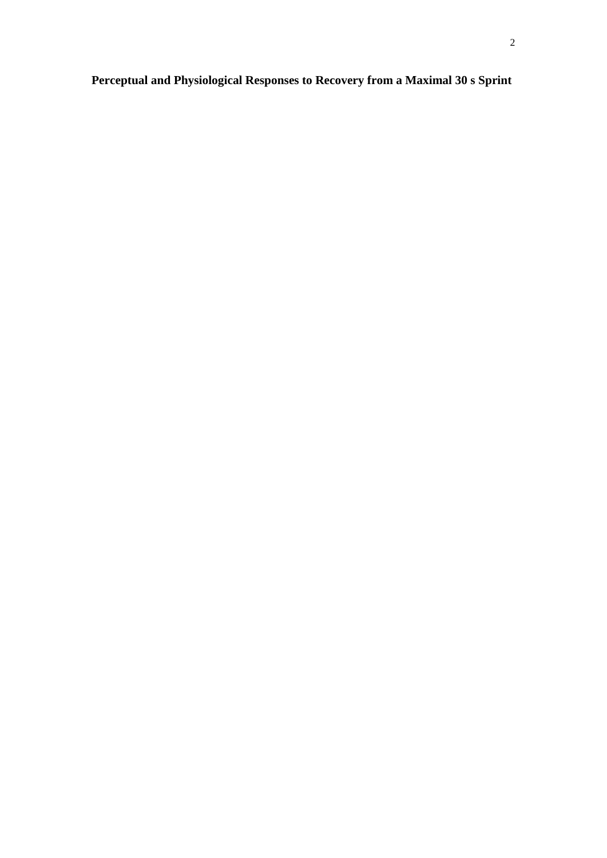# **Perceptual and Physiological Responses to Recovery from a Maximal 30 s Sprint**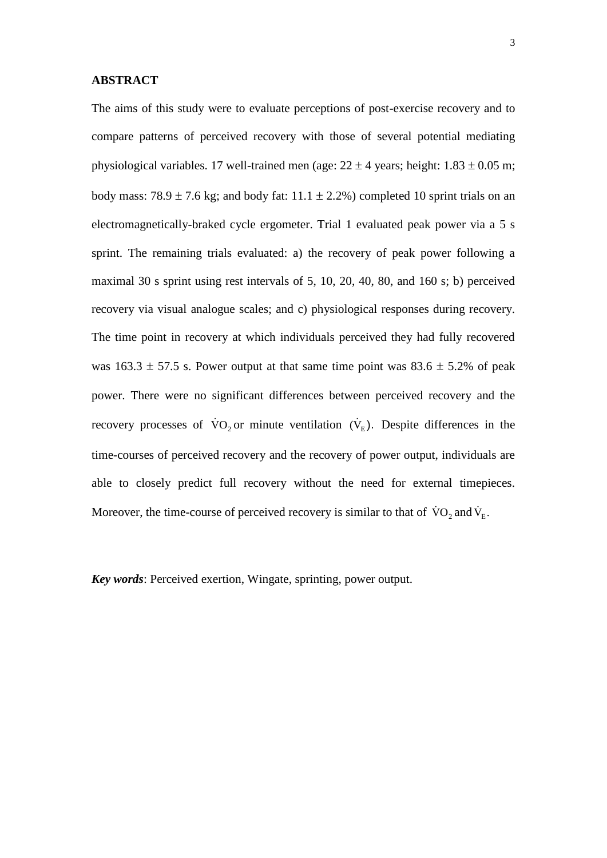#### **ABSTRACT**

The aims of this study were to evaluate perceptions of post-exercise recovery and to compare patterns of perceived recovery with those of several potential mediating physiological variables. 17 well-trained men (age:  $22 \pm 4$  years; height:  $1.83 \pm 0.05$  m; body mass:  $78.9 \pm 7.6$  kg; and body fat:  $11.1 \pm 2.2$ %) completed 10 sprint trials on an electromagnetically-braked cycle ergometer. Trial 1 evaluated peak power via a 5 s sprint. The remaining trials evaluated: a) the recovery of peak power following a maximal 30 s sprint using rest intervals of 5, 10, 20, 40, 80, and 160 s; b) perceived recovery via visual analogue scales; and c) physiological responses during recovery. The time point in recovery at which individuals perceived they had fully recovered was  $163.3 \pm 57.5$  s. Power output at that same time point was  $83.6 \pm 5.2$ % of peak power. There were no significant differences between perceived recovery and the recovery processes of  $\dot{V}O_2$  or minute ventilation  $(\dot{V}_E)$ . Despite differences in the time-courses of perceived recovery and the recovery of power output, individuals are able to closely predict full recovery without the need for external timepieces. Moreover, the time-course of perceived recovery is similar to that of  $\text{VO}_2$  and  $\text{V}_\text{E}$ .

*Key words*: Perceived exertion, Wingate, sprinting, power output.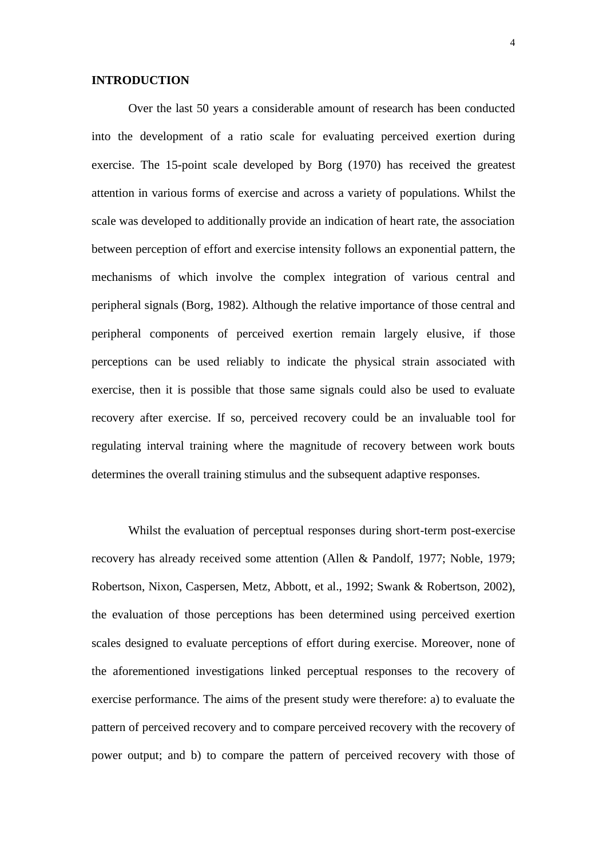#### **INTRODUCTION**

Over the last 50 years a considerable amount of research has been conducted into the development of a ratio scale for evaluating perceived exertion during exercise. The 15-point scale developed by Borg (1970) has received the greatest attention in various forms of exercise and across a variety of populations. Whilst the scale was developed to additionally provide an indication of heart rate, the association between perception of effort and exercise intensity follows an exponential pattern, the mechanisms of which involve the complex integration of various central and peripheral signals (Borg, 1982). Although the relative importance of those central and peripheral components of perceived exertion remain largely elusive, if those perceptions can be used reliably to indicate the physical strain associated with exercise, then it is possible that those same signals could also be used to evaluate recovery after exercise. If so, perceived recovery could be an invaluable tool for regulating interval training where the magnitude of recovery between work bouts determines the overall training stimulus and the subsequent adaptive responses.

Whilst the evaluation of perceptual responses during short-term post-exercise recovery has already received some attention (Allen & Pandolf, 1977; Noble, 1979; Robertson, Nixon, Caspersen, Metz, Abbott, et al., 1992; Swank & Robertson, 2002), the evaluation of those perceptions has been determined using perceived exertion scales designed to evaluate perceptions of effort during exercise. Moreover, none of the aforementioned investigations linked perceptual responses to the recovery of exercise performance. The aims of the present study were therefore: a) to evaluate the pattern of perceived recovery and to compare perceived recovery with the recovery of power output; and b) to compare the pattern of perceived recovery with those of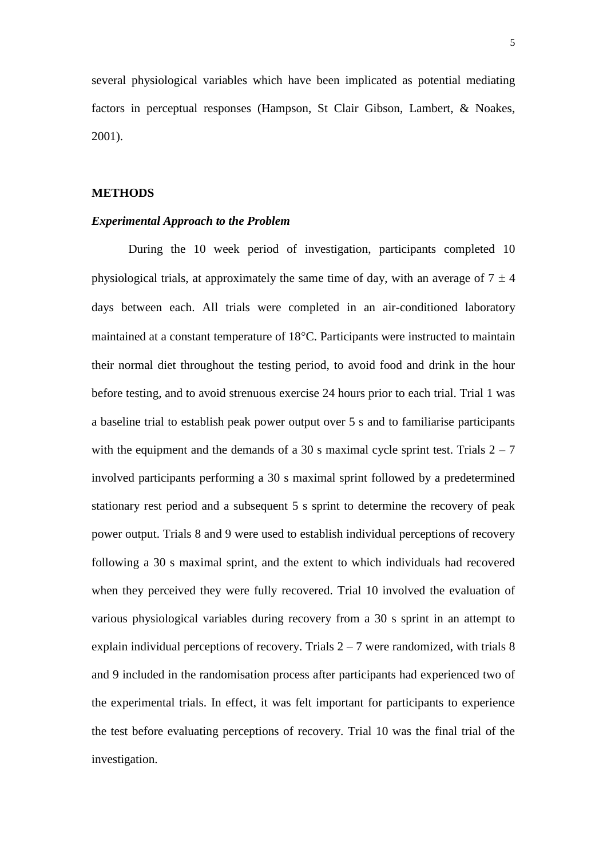several physiological variables which have been implicated as potential mediating factors in perceptual responses (Hampson, St Clair Gibson, Lambert, & Noakes, 2001).

### **METHODS**

## *Experimental Approach to the Problem*

During the 10 week period of investigation, participants completed 10 physiological trials, at approximately the same time of day, with an average of  $7 \pm 4$ days between each. All trials were completed in an air-conditioned laboratory maintained at a constant temperature of  $18^{\circ}$ C. Participants were instructed to maintain their normal diet throughout the testing period, to avoid food and drink in the hour before testing, and to avoid strenuous exercise 24 hours prior to each trial. Trial 1 was a baseline trial to establish peak power output over 5 s and to familiarise participants with the equipment and the demands of a 30 s maximal cycle sprint test. Trials  $2 - 7$ involved participants performing a 30 s maximal sprint followed by a predetermined stationary rest period and a subsequent 5 s sprint to determine the recovery of peak power output. Trials 8 and 9 were used to establish individual perceptions of recovery following a 30 s maximal sprint, and the extent to which individuals had recovered when they perceived they were fully recovered. Trial 10 involved the evaluation of various physiological variables during recovery from a 30 s sprint in an attempt to explain individual perceptions of recovery. Trials  $2 - 7$  were randomized, with trials 8 and 9 included in the randomisation process after participants had experienced two of the experimental trials. In effect, it was felt important for participants to experience the test before evaluating perceptions of recovery. Trial 10 was the final trial of the investigation.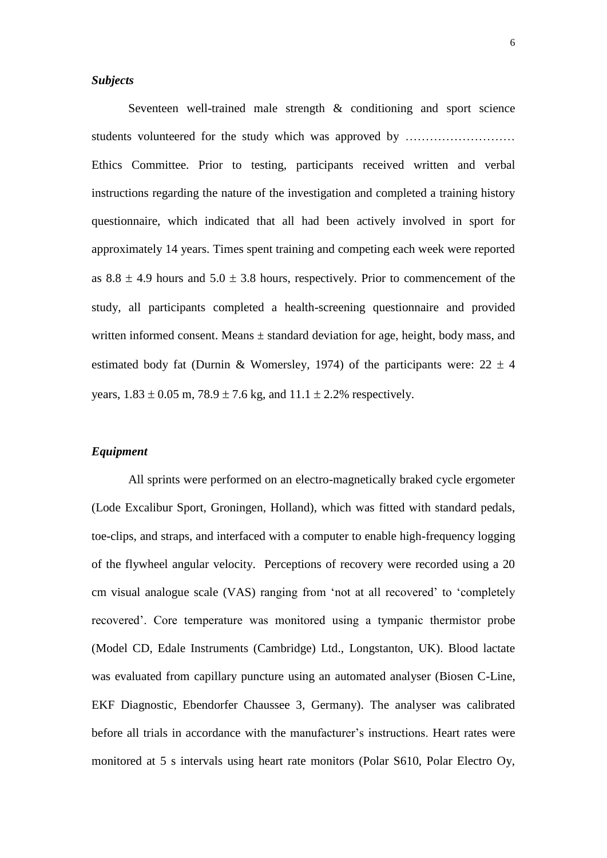# *Subjects*

Seventeen well-trained male strength & conditioning and sport science students volunteered for the study which was approved by ……………………… Ethics Committee. Prior to testing, participants received written and verbal instructions regarding the nature of the investigation and completed a training history questionnaire, which indicated that all had been actively involved in sport for approximately 14 years. Times spent training and competing each week were reported as  $8.8 \pm 4.9$  hours and  $5.0 \pm 3.8$  hours, respectively. Prior to commencement of the study, all participants completed a health-screening questionnaire and provided written informed consent. Means ± standard deviation for age, height, body mass, and estimated body fat (Durnin & Womersley, 1974) of the participants were:  $22 \pm 4$ years,  $1.83 \pm 0.05$  m,  $78.9 \pm 7.6$  kg, and  $11.1 \pm 2.2$ % respectively.

# *Equipment*

All sprints were performed on an electro-magnetically braked cycle ergometer (Lode Excalibur Sport, Groningen, Holland), which was fitted with standard pedals, toe-clips, and straps, and interfaced with a computer to enable high-frequency logging of the flywheel angular velocity. Perceptions of recovery were recorded using a 20 cm visual analogue scale (VAS) ranging from 'not at all recovered' to 'completely recovered'. Core temperature was monitored using a tympanic thermistor probe (Model CD, Edale Instruments (Cambridge) Ltd., Longstanton, UK). Blood lactate was evaluated from capillary puncture using an automated analyser (Biosen C-Line, EKF Diagnostic, Ebendorfer Chaussee 3, Germany). The analyser was calibrated before all trials in accordance with the manufacturer's instructions. Heart rates were monitored at 5 s intervals using heart rate monitors (Polar S610, Polar Electro Oy,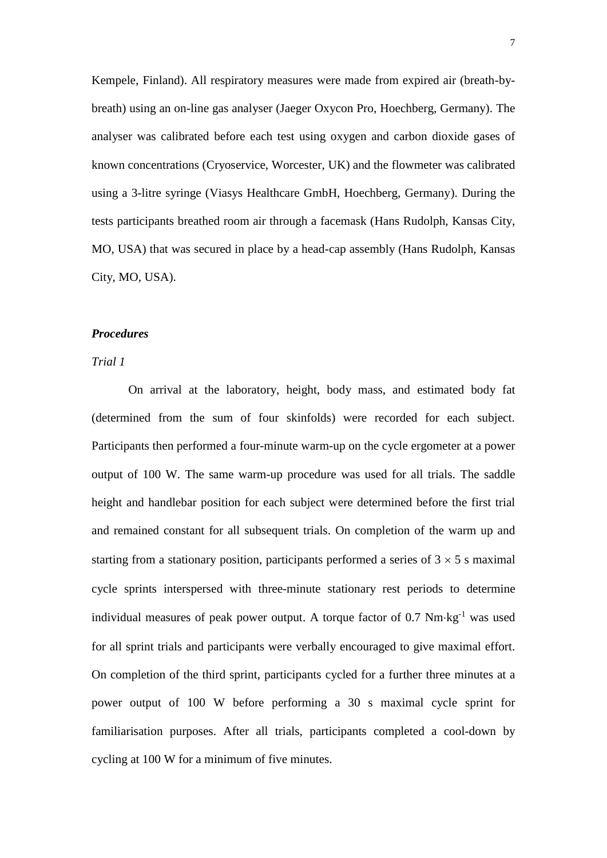Kempele, Finland). All respiratory measures were made from expired air (breath-bybreath) using an on-line gas analyser (Jaeger Oxycon Pro, Hoechberg, Germany). The analyser was calibrated before each test using oxygen and carbon dioxide gases of known concentrations (Cryoservice, Worcester, UK) and the flowmeter was calibrated using a 3-litre syringe (Viasys Healthcare GmbH, Hoechberg, Germany). During the tests participants breathed room air through a facemask (Hans Rudolph, Kansas City, MO, USA) that was secured in place by a head-cap assembly (Hans Rudolph, Kansas City, MO, USA).

#### *Procedures*

# *Trial 1*

On arrival at the laboratory, height, body mass, and estimated body fat (determined from the sum of four skinfolds) were recorded for each subject. Participants then performed a four-minute warm-up on the cycle ergometer at a power output of 100 W. The same warm-up procedure was used for all trials. The saddle height and handlebar position for each subject were determined before the first trial and remained constant for all subsequent trials. On completion of the warm up and starting from a stationary position, participants performed a series of  $3 \times 5$  s maximal cycle sprints interspersed with three-minute stationary rest periods to determine individual measures of peak power output. A torque factor of  $0.7 \text{ Nm}\text{-kg}^{-1}$  was used for all sprint trials and participants were verbally encouraged to give maximal effort. On completion of the third sprint, participants cycled for a further three minutes at a power output of 100 W before performing a 30 s maximal cycle sprint for familiarisation purposes. After all trials, participants completed a cool-down by cycling at 100 W for a minimum of five minutes.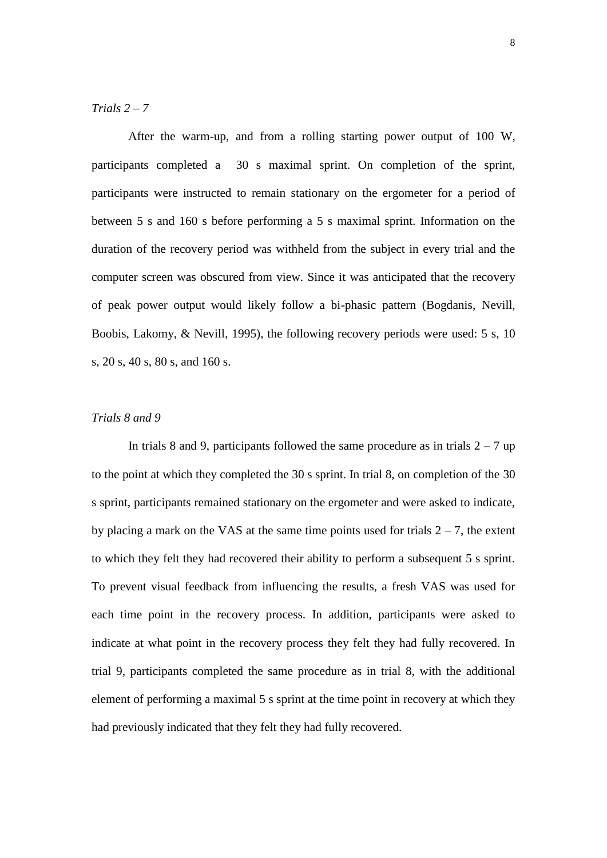# *Trials 2 – 7*

After the warm-up, and from a rolling starting power output of 100 W, participants completed a 30 s maximal sprint. On completion of the sprint, participants were instructed to remain stationary on the ergometer for a period of between 5 s and 160 s before performing a 5 s maximal sprint. Information on the duration of the recovery period was withheld from the subject in every trial and the computer screen was obscured from view. Since it was anticipated that the recovery of peak power output would likely follow a bi-phasic pattern (Bogdanis, Nevill, Boobis, Lakomy, & Nevill, 1995), the following recovery periods were used: 5 s, 10 s, 20 s, 40 s, 80 s, and 160 s.

# *Trials 8 and 9*

In trials 8 and 9, participants followed the same procedure as in trials  $2 - 7$  up to the point at which they completed the 30 s sprint. In trial 8, on completion of the 30 s sprint, participants remained stationary on the ergometer and were asked to indicate, by placing a mark on the VAS at the same time points used for trials  $2 - 7$ , the extent to which they felt they had recovered their ability to perform a subsequent 5 s sprint. To prevent visual feedback from influencing the results, a fresh VAS was used for each time point in the recovery process. In addition, participants were asked to indicate at what point in the recovery process they felt they had fully recovered. In trial 9, participants completed the same procedure as in trial 8, with the additional element of performing a maximal 5 s sprint at the time point in recovery at which they had previously indicated that they felt they had fully recovered.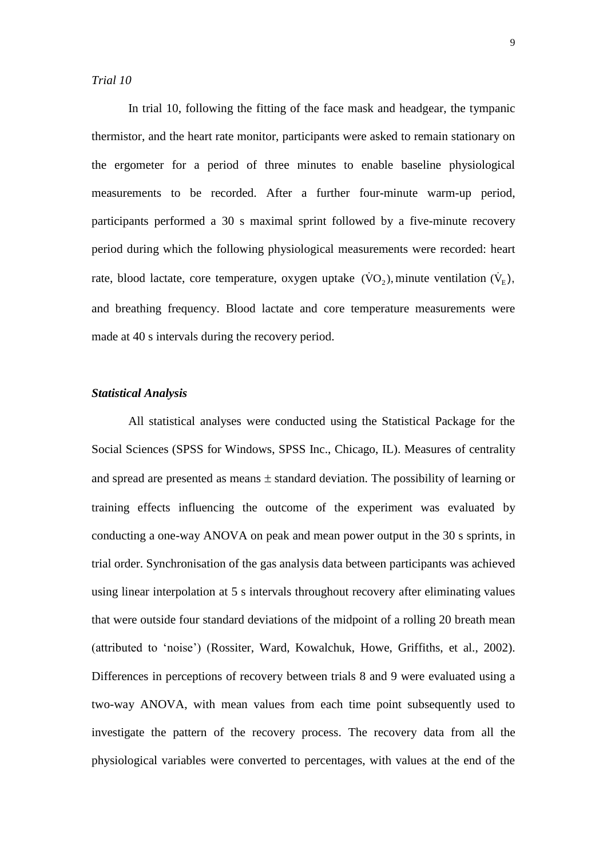In trial 10, following the fitting of the face mask and headgear, the tympanic thermistor, and the heart rate monitor, participants were asked to remain stationary on the ergometer for a period of three minutes to enable baseline physiological measurements to be recorded. After a further four-minute warm-up period, participants performed a 30 s maximal sprint followed by a five-minute recovery period during which the following physiological measurements were recorded: heart rate, blood lactate, core temperature, oxygen uptake  $(\dot{V}O_2)$ , minute ventilation  $(\dot{V}_E)$ , and breathing frequency. Blood lactate and core temperature measurements were made at 40 s intervals during the recovery period.

# *Statistical Analysis*

All statistical analyses were conducted using the Statistical Package for the Social Sciences (SPSS for Windows, SPSS Inc., Chicago, IL). Measures of centrality and spread are presented as means  $\pm$  standard deviation. The possibility of learning or training effects influencing the outcome of the experiment was evaluated by conducting a one-way ANOVA on peak and mean power output in the 30 s sprints, in trial order. Synchronisation of the gas analysis data between participants was achieved using linear interpolation at 5 s intervals throughout recovery after eliminating values that were outside four standard deviations of the midpoint of a rolling 20 breath mean (attributed to 'noise') (Rossiter, Ward, Kowalchuk, Howe, Griffiths, et al., 2002). Differences in perceptions of recovery between trials 8 and 9 were evaluated using a two-way ANOVA, with mean values from each time point subsequently used to investigate the pattern of the recovery process. The recovery data from all the physiological variables were converted to percentages, with values at the end of the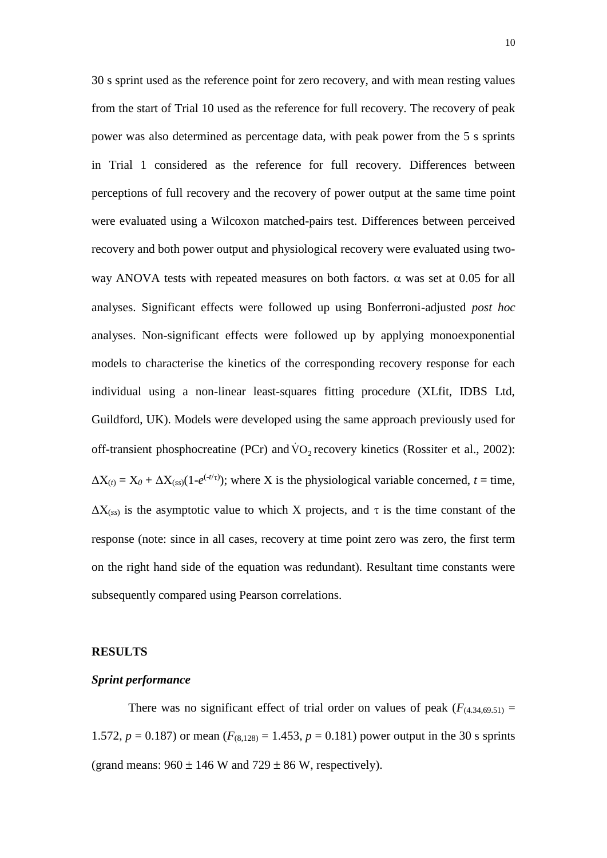30 s sprint used as the reference point for zero recovery, and with mean resting values from the start of Trial 10 used as the reference for full recovery. The recovery of peak power was also determined as percentage data, with peak power from the 5 s sprints in Trial 1 considered as the reference for full recovery. Differences between perceptions of full recovery and the recovery of power output at the same time point were evaluated using a Wilcoxon matched-pairs test. Differences between perceived recovery and both power output and physiological recovery were evaluated using twoway ANOVA tests with repeated measures on both factors.  $\alpha$  was set at 0.05 for all analyses. Significant effects were followed up using Bonferroni-adjusted *post hoc* analyses. Non-significant effects were followed up by applying monoexponential models to characterise the kinetics of the corresponding recovery response for each individual using a non-linear least-squares fitting procedure (XLfit, IDBS Ltd, Guildford, UK). Models were developed using the same approach previously used for off-transient phosphocreatine (PCr) and  $\rm \dot{VO}_2$  recovery kinetics (Rossiter et al., 2002):  $\Delta X_{(t)} = X_0 + \Delta X_{(ss)}(1-e^{(-t/\tau)})$ ; where X is the physiological variable concerned,  $t =$  time,  $\Delta X_{(ss)}$  is the asymptotic value to which X projects, and  $\tau$  is the time constant of the response (note: since in all cases, recovery at time point zero was zero, the first term on the right hand side of the equation was redundant). Resultant time constants were subsequently compared using Pearson correlations.

#### **RESULTS**

#### *Sprint performance*

There was no significant effect of trial order on values of peak  $(F_{(4,34,69.51)} =$ 1.572,  $p = 0.187$ ) or mean ( $F_{(8,128)} = 1.453$ ,  $p = 0.181$ ) power output in the 30 s sprints (grand means:  $960 \pm 146$  W and  $729 \pm 86$  W, respectively).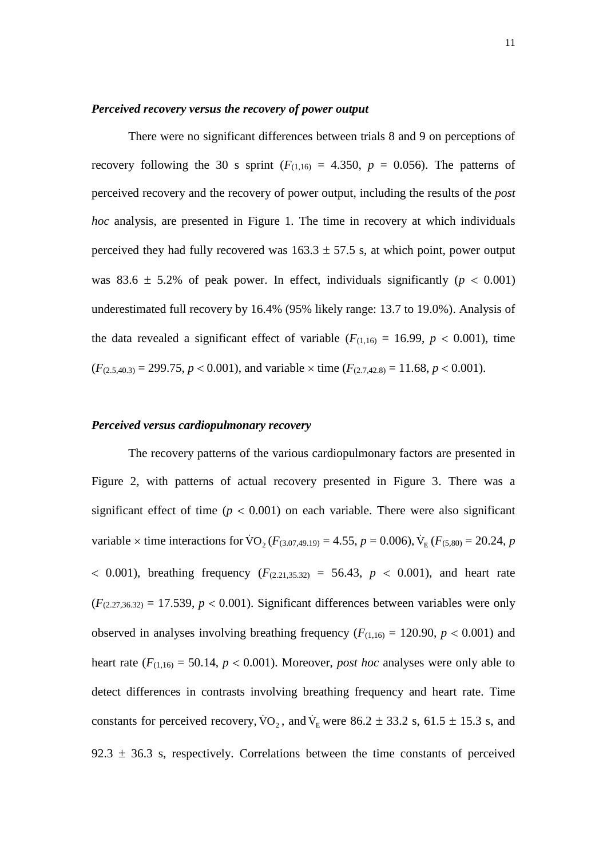# *Perceived recovery versus the recovery of power output*

There were no significant differences between trials 8 and 9 on perceptions of recovery following the 30 s sprint  $(F_{(1,16)} = 4.350, p = 0.056)$ . The patterns of perceived recovery and the recovery of power output, including the results of the *post hoc* analysis, are presented in Figure 1. The time in recovery at which individuals perceived they had fully recovered was  $163.3 \pm 57.5$  s, at which point, power output was 83.6  $\pm$  5.2% of peak power. In effect, individuals significantly ( $p < 0.001$ ) underestimated full recovery by 16.4% (95% likely range: 13.7 to 19.0%). Analysis of the data revealed a significant effect of variable ( $F_{(1,16)} = 16.99$ ,  $p < 0.001$ ), time  $(F_{(2.5,40,3)} = 299.75, p < 0.001)$ , and variable  $\times$  time  $(F_{(2.7,42,8)} = 11.68, p < 0.001)$ .

### *Perceived versus cardiopulmonary recovery*

The recovery patterns of the various cardiopulmonary factors are presented in Figure 2, with patterns of actual recovery presented in Figure 3. There was a significant effect of time  $(p < 0.001)$  on each variable. There were also significant variable  $\times$  time interactions for  $\text{VO}_2(F_{(3.07,49.19)} = 4.55, p = 0.006)$ ,  $\text{V}_E(F_{(5,80)} = 20.24, p$  $0.001$ , breathing frequency  $(F_{(2.21,35.32)} = 56.43, p < 0.001$ , and heart rate  $(F_{(2.27,36.32)} = 17.539, p < 0.001)$ . Significant differences between variables were only observed in analyses involving breathing frequency  $(F_{(1,16)} = 120.90, p < 0.001)$  and heart rate  $(F_{(1,16)} = 50.14, p < 0.001)$ . Moreover, *post hoc* analyses were only able to detect differences in contrasts involving breathing frequency and heart rate. Time constants for perceived recovery,  $\rm \dot{VO}_2$ , and  $\rm \dot{V}_E$  were 86.2  $\pm$  33.2 s, 61.5  $\pm$  15.3 s, and 92.3  $\pm$  36.3 s, respectively. Correlations between the time constants of perceived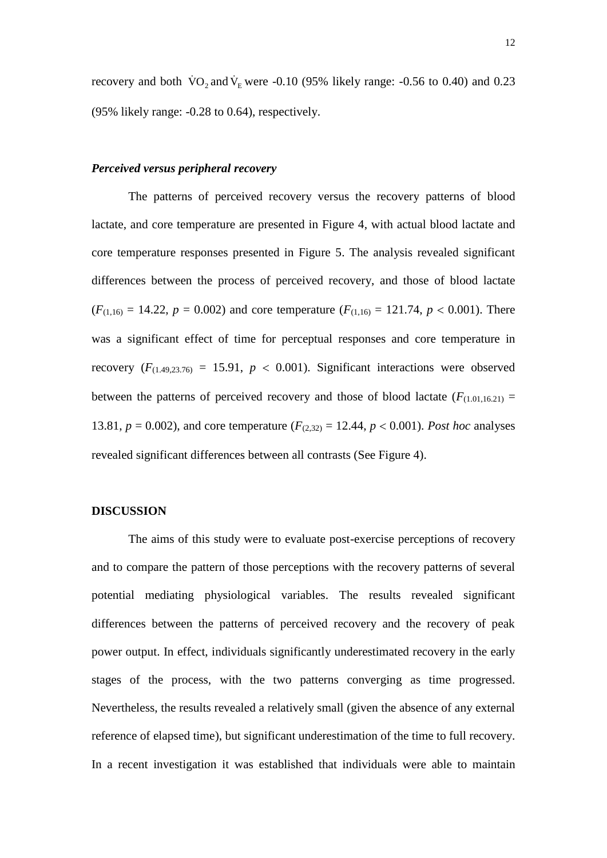recovery and both  $\overline{VO}_2$  and  $\overline{V}_E$  were -0.10 (95% likely range: -0.56 to 0.40) and 0.23 (95% likely range: *-*0.28 to 0.64), respectively.

#### *Perceived versus peripheral recovery*

The patterns of perceived recovery versus the recovery patterns of blood lactate, and core temperature are presented in Figure 4, with actual blood lactate and core temperature responses presented in Figure 5. The analysis revealed significant differences between the process of perceived recovery, and those of blood lactate  $(F_{(1,16)} = 14.22, p = 0.002)$  and core temperature  $(F_{(1,16)} = 121.74, p < 0.001)$ . There was a significant effect of time for perceptual responses and core temperature in recovery  $(F_{(1.49,23.76)} = 15.91, p < 0.001)$ . Significant interactions were observed between the patterns of perceived recovery and those of blood lactate  $(F_{(1.01,16.21)} =$ 13.81,  $p = 0.002$ ), and core temperature  $(F_{(2,32)} = 12.44, p < 0.001)$ . Post hoc analyses revealed significant differences between all contrasts (See Figure 4).

# **DISCUSSION**

The aims of this study were to evaluate post-exercise perceptions of recovery and to compare the pattern of those perceptions with the recovery patterns of several potential mediating physiological variables. The results revealed significant differences between the patterns of perceived recovery and the recovery of peak power output. In effect, individuals significantly underestimated recovery in the early stages of the process, with the two patterns converging as time progressed. Nevertheless, the results revealed a relatively small (given the absence of any external reference of elapsed time), but significant underestimation of the time to full recovery. In a recent investigation it was established that individuals were able to maintain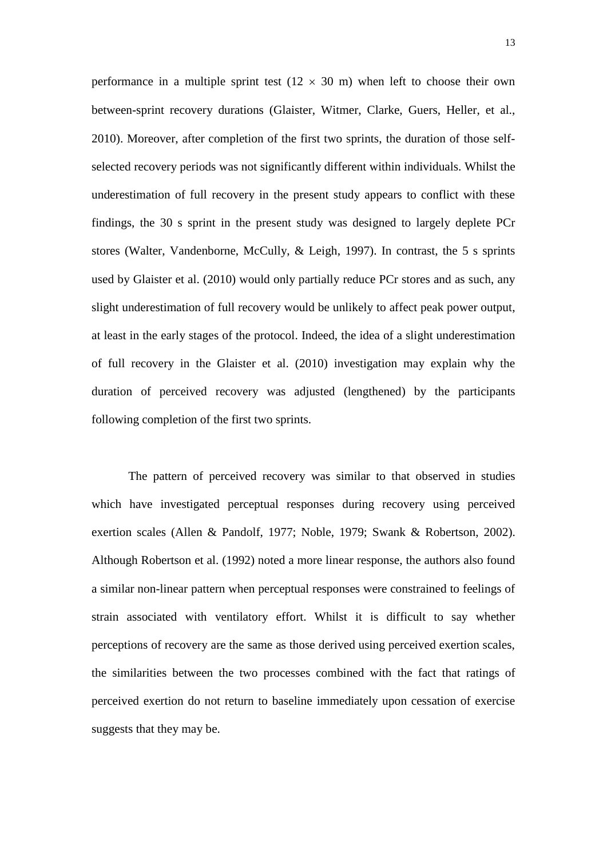performance in a multiple sprint test  $(12 \times 30 \text{ m})$  when left to choose their own between-sprint recovery durations (Glaister, Witmer, Clarke, Guers, Heller, et al., 2010). Moreover, after completion of the first two sprints, the duration of those selfselected recovery periods was not significantly different within individuals. Whilst the underestimation of full recovery in the present study appears to conflict with these findings, the 30 s sprint in the present study was designed to largely deplete PCr stores (Walter, Vandenborne, McCully, & Leigh, 1997). In contrast, the 5 s sprints used by Glaister et al. (2010) would only partially reduce PCr stores and as such, any slight underestimation of full recovery would be unlikely to affect peak power output, at least in the early stages of the protocol. Indeed, the idea of a slight underestimation of full recovery in the Glaister et al. (2010) investigation may explain why the duration of perceived recovery was adjusted (lengthened) by the participants following completion of the first two sprints.

The pattern of perceived recovery was similar to that observed in studies which have investigated perceptual responses during recovery using perceived exertion scales (Allen & Pandolf, 1977; Noble, 1979; Swank & Robertson, 2002). Although Robertson et al. (1992) noted a more linear response, the authors also found a similar non-linear pattern when perceptual responses were constrained to feelings of strain associated with ventilatory effort. Whilst it is difficult to say whether perceptions of recovery are the same as those derived using perceived exertion scales, the similarities between the two processes combined with the fact that ratings of perceived exertion do not return to baseline immediately upon cessation of exercise suggests that they may be.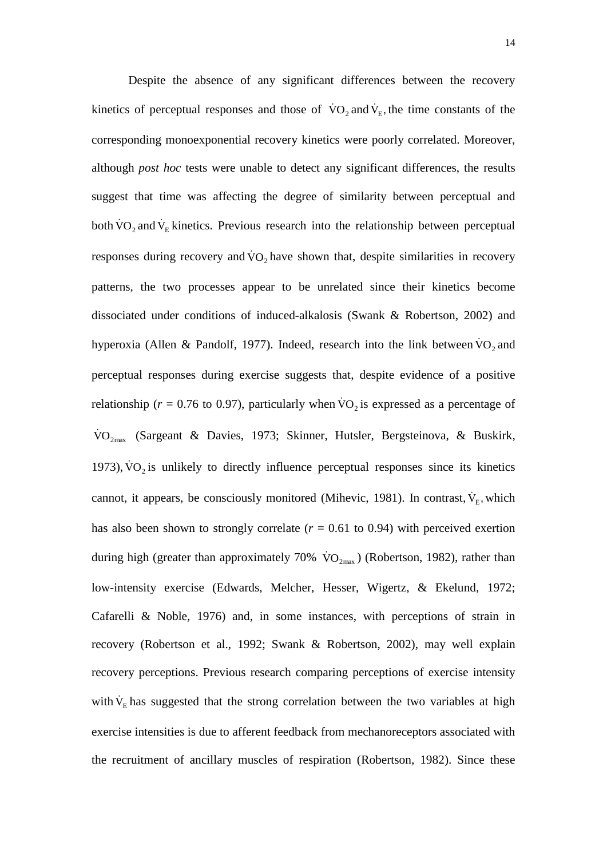Despite the absence of any significant differences between the recovery kinetics of perceptual responses and those of  $\overline{VO}_2$  and  $\overline{V}_E$ , the time constants of the corresponding monoexponential recovery kinetics were poorly correlated. Moreover, although *post hoc* tests were unable to detect any significant differences, the results suggest that time was affecting the degree of similarity between perceptual and both  $\rm \dot{VO}_2$  and  $\rm \dot{V}_E$  kinetics. Previous research into the relationship between perceptual responses during recovery and  $\overline{VO}_2$  have shown that, despite similarities in recovery patterns, the two processes appear to be unrelated since their kinetics become dissociated under conditions of induced-alkalosis (Swank & Robertson, 2002) and hyperoxia (Allen & Pandolf, 1977). Indeed, research into the link between  $\rm{VO}_{2}$  and perceptual responses during exercise suggests that, despite evidence of a positive relationship ( $r = 0.76$  to 0.97), particularly when  $\overline{VO}_2$  is expressed as a percentage of VO<sub>2max</sub> (Sargeant & Davies, 1973; Skinner, Hutsler, Bergsteinova, & Buskirk, 1973),  $\overline{v}O_2$  is unlikely to directly influence perceptual responses since its kinetics cannot, it appears, be consciously monitored (Mihevic, 1981). In contrast,  $\dot{V}_E$ , which has also been shown to strongly correlate  $(r = 0.61$  to 0.94) with perceived exertion during high (greater than approximately 70%  $\rm \dot{VO}_{2max}$ ) (Robertson, 1982), rather than low-intensity exercise (Edwards, Melcher, Hesser, Wigertz, & Ekelund, 1972; Cafarelli & Noble, 1976) and, in some instances, with perceptions of strain in recovery (Robertson et al., 1992; Swank & Robertson, 2002), may well explain recovery perceptions. Previous research comparing perceptions of exercise intensity with  $\dot{V}_E$  has suggested that the strong correlation between the two variables at high exercise intensities is due to afferent feedback from mechanoreceptors associated with the recruitment of ancillary muscles of respiration (Robertson, 1982). Since these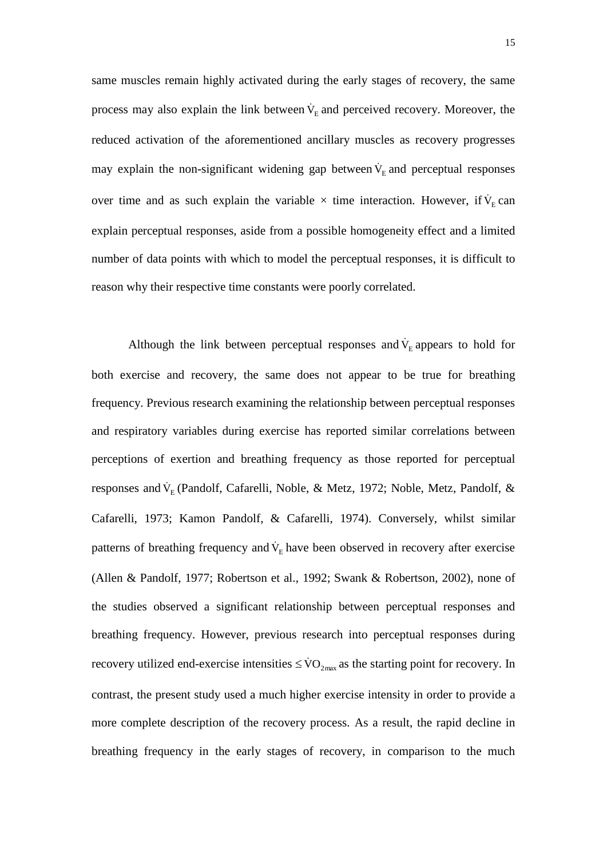same muscles remain highly activated during the early stages of recovery, the same process may also explain the link between  $\dot{V}_E$  and perceived recovery. Moreover, the reduced activation of the aforementioned ancillary muscles as recovery progresses may explain the non-significant widening gap between  $\dot{V}_E$  and perceptual responses over time and as such explain the variable  $\times$  time interaction. However, if  $V_{E}$  can explain perceptual responses, aside from a possible homogeneity effect and a limited number of data points with which to model the perceptual responses, it is difficult to reason why their respective time constants were poorly correlated.

Although the link between perceptual responses and  $\dot{V}_E$  appears to hold for both exercise and recovery, the same does not appear to be true for breathing frequency. Previous research examining the relationship between perceptual responses and respiratory variables during exercise has reported similar correlations between perceptions of exertion and breathing frequency as those reported for perceptual responses and  $\dot{V}_{E}$  (Pandolf, Cafarelli, Noble, & Metz, 1972; Noble, Metz, Pandolf, & Cafarelli, 1973; Kamon Pandolf, & Cafarelli, 1974). Conversely, whilst similar patterns of breathing frequency and  $\dot{V}_E$  have been observed in recovery after exercise (Allen & Pandolf, 1977; Robertson et al., 1992; Swank & Robertson, 2002), none of the studies observed a significant relationship between perceptual responses and breathing frequency. However, previous research into perceptual responses during recovery utilized end-exercise intensities  $\leq \text{VO}_{2\text{max}}$  as the starting point for recovery. In contrast, the present study used a much higher exercise intensity in order to provide a more complete description of the recovery process. As a result, the rapid decline in breathing frequency in the early stages of recovery, in comparison to the much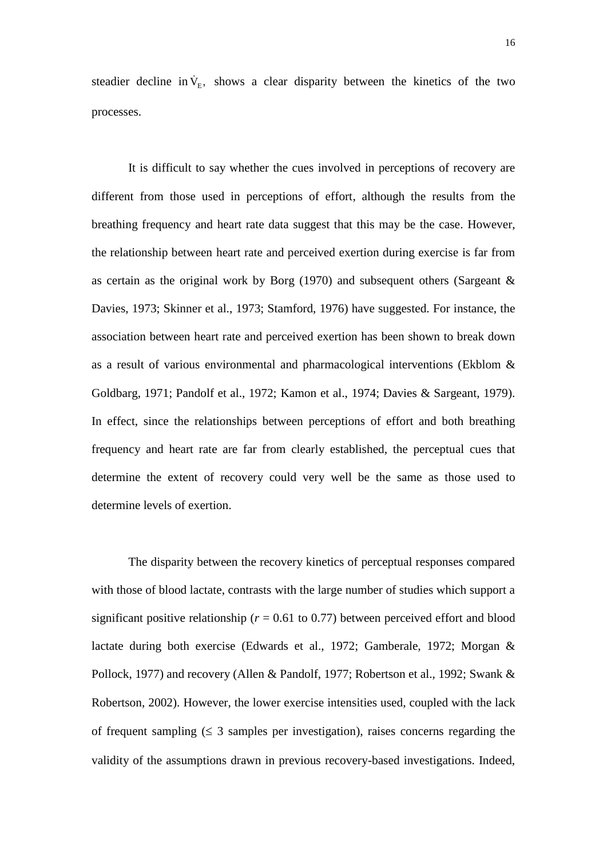steadier decline in  $\dot{V}_{E}$ , shows a clear disparity between the kinetics of the two processes.

It is difficult to say whether the cues involved in perceptions of recovery are different from those used in perceptions of effort, although the results from the breathing frequency and heart rate data suggest that this may be the case. However, the relationship between heart rate and perceived exertion during exercise is far from as certain as the original work by Borg (1970) and subsequent others (Sargeant & Davies, 1973; Skinner et al., 1973; Stamford, 1976) have suggested. For instance, the association between heart rate and perceived exertion has been shown to break down as a result of various environmental and pharmacological interventions (Ekblom & Goldbarg, 1971; Pandolf et al., 1972; Kamon et al., 1974; Davies & Sargeant, 1979). In effect, since the relationships between perceptions of effort and both breathing frequency and heart rate are far from clearly established, the perceptual cues that determine the extent of recovery could very well be the same as those used to determine levels of exertion.

The disparity between the recovery kinetics of perceptual responses compared with those of blood lactate, contrasts with the large number of studies which support a significant positive relationship ( $r = 0.61$  to 0.77) between perceived effort and blood lactate during both exercise (Edwards et al., 1972; Gamberale, 1972; Morgan & Pollock, 1977) and recovery (Allen & Pandolf, 1977; Robertson et al., 1992; Swank & Robertson, 2002). However, the lower exercise intensities used, coupled with the lack of frequent sampling  $( \leq 3$  samples per investigation), raises concerns regarding the validity of the assumptions drawn in previous recovery-based investigations. Indeed,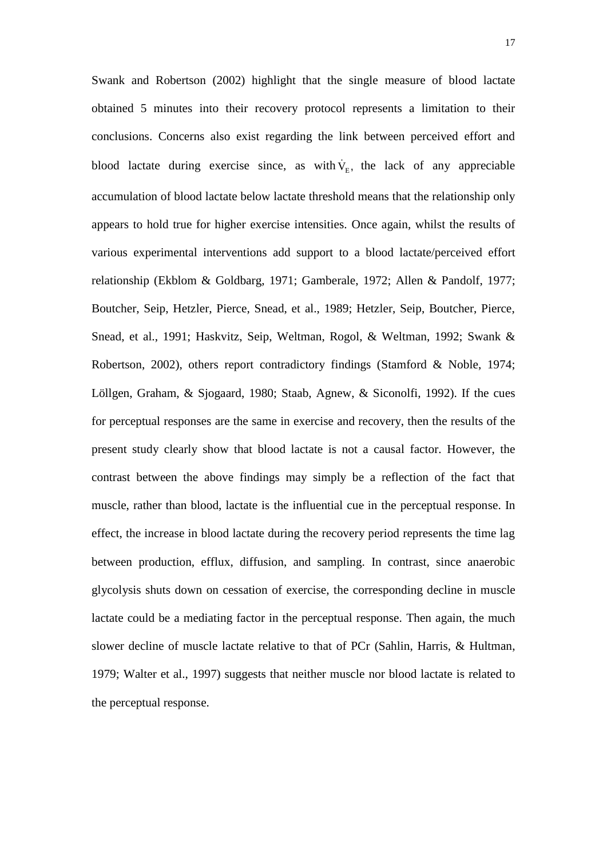Swank and Robertson (2002) highlight that the single measure of blood lactate obtained 5 minutes into their recovery protocol represents a limitation to their conclusions. Concerns also exist regarding the link between perceived effort and blood lactate during exercise since, as with  $\dot{V}_E$ , the lack of any appreciable accumulation of blood lactate below lactate threshold means that the relationship only appears to hold true for higher exercise intensities. Once again, whilst the results of various experimental interventions add support to a blood lactate/perceived effort relationship (Ekblom & Goldbarg, 1971; Gamberale, 1972; Allen & Pandolf, 1977; Boutcher, Seip, Hetzler, Pierce, Snead, et al., 1989; Hetzler, Seip, Boutcher, Pierce, Snead, et al., 1991; Haskvitz, Seip, Weltman, Rogol, & Weltman, 1992; Swank & Robertson, 2002), others report contradictory findings (Stamford & Noble, 1974; Löllgen, Graham, & Sjogaard, 1980; Staab, Agnew, & Siconolfi, 1992). If the cues for perceptual responses are the same in exercise and recovery, then the results of the present study clearly show that blood lactate is not a causal factor. However, the contrast between the above findings may simply be a reflection of the fact that muscle, rather than blood, lactate is the influential cue in the perceptual response. In effect, the increase in blood lactate during the recovery period represents the time lag between production, efflux, diffusion, and sampling. In contrast, since anaerobic glycolysis shuts down on cessation of exercise, the corresponding decline in muscle lactate could be a mediating factor in the perceptual response. Then again, the much slower decline of muscle lactate relative to that of PCr (Sahlin, Harris, & Hultman, 1979; Walter et al., 1997) suggests that neither muscle nor blood lactate is related to the perceptual response.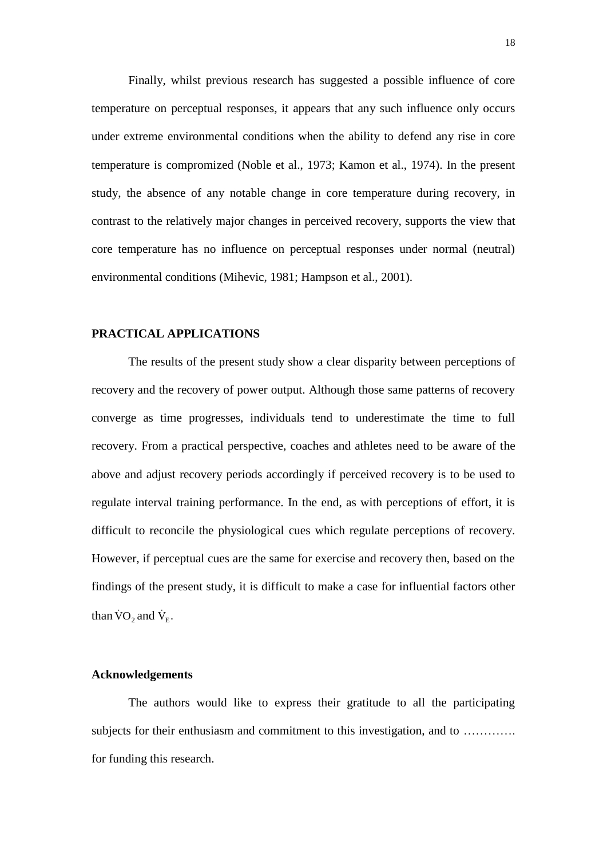Finally, whilst previous research has suggested a possible influence of core temperature on perceptual responses, it appears that any such influence only occurs under extreme environmental conditions when the ability to defend any rise in core temperature is compromized (Noble et al., 1973; Kamon et al., 1974). In the present study, the absence of any notable change in core temperature during recovery, in contrast to the relatively major changes in perceived recovery, supports the view that core temperature has no influence on perceptual responses under normal (neutral) environmental conditions (Mihevic, 1981; Hampson et al., 2001).

# **PRACTICAL APPLICATIONS**

The results of the present study show a clear disparity between perceptions of recovery and the recovery of power output. Although those same patterns of recovery converge as time progresses, individuals tend to underestimate the time to full recovery. From a practical perspective, coaches and athletes need to be aware of the above and adjust recovery periods accordingly if perceived recovery is to be used to regulate interval training performance. In the end, as with perceptions of effort, it is difficult to reconcile the physiological cues which regulate perceptions of recovery. However, if perceptual cues are the same for exercise and recovery then, based on the findings of the present study, it is difficult to make a case for influential factors other than  $\rm \dot{VO}_2$  and  $\rm \dot{V}_E$ .

## **Acknowledgements**

The authors would like to express their gratitude to all the participating subjects for their enthusiasm and commitment to this investigation, and to …………. for funding this research.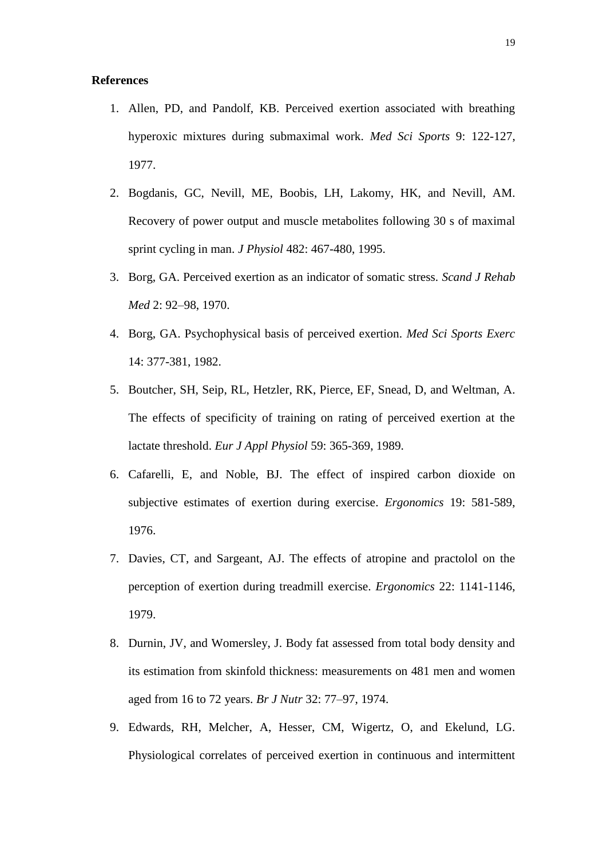#### **References**

- 1. Allen, PD, and Pandolf, KB. Perceived exertion associated with breathing hyperoxic mixtures during submaximal work. *Med Sci Sports* 9: 122-127, 1977.
- 2. Bogdanis, GC, Nevill, ME, Boobis, LH, Lakomy, HK, and Nevill, AM. Recovery of power output and muscle metabolites following 30 s of maximal sprint cycling in man. *J Physiol* 482: 467-480, 1995.
- 3. Borg, GA. Perceived exertion as an indicator of somatic stress. *Scand J Rehab Med* 2: 92–98, 1970.
- 4. Borg, GA. Psychophysical basis of perceived exertion. *Med Sci Sports Exerc* 14: 377-381, 1982.
- 5. Boutcher, SH, Seip, RL, Hetzler, RK, Pierce, EF, Snead, D, and Weltman, A. The effects of specificity of training on rating of perceived exertion at the lactate threshold. *Eur J Appl Physiol* 59: 365-369, 1989.
- 6. Cafarelli, E, and Noble, BJ. The effect of inspired carbon dioxide on subjective estimates of exertion during exercise. *Ergonomics* 19: 581-589, 1976.
- 7. Davies, CT, and Sargeant, AJ. The effects of atropine and practolol on the perception of exertion during treadmill exercise. *Ergonomics* 22: 1141-1146, 1979.
- 8. Durnin, JV, and Womersley, J. Body fat assessed from total body density and its estimation from skinfold thickness: measurements on 481 men and women aged from 16 to 72 years. *Br J Nutr* 32: 77–97, 1974.
- 9. Edwards, RH, Melcher, A, Hesser, CM, Wigertz, O, and Ekelund, LG. Physiological correlates of perceived exertion in continuous and intermittent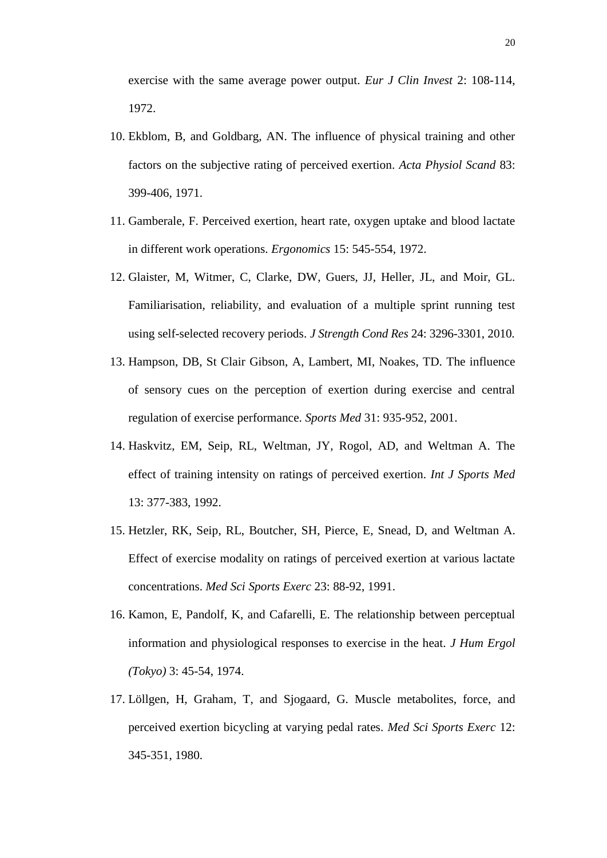exercise with the same average power output. *Eur J Clin Invest* 2: 108-114, 1972.

- 10. Ekblom, B, and Goldbarg, AN. The influence of physical training and other factors on the subjective rating of perceived exertion. *Acta Physiol Scand* 83: 399-406, 1971.
- 11. Gamberale, F. Perceived exertion, heart rate, oxygen uptake and blood lactate in different work operations. *Ergonomics* 15: 545-554, 1972.
- 12. Glaister, M, Witmer, C, Clarke, DW, Guers, JJ, Heller, JL, and Moir, GL. Familiarisation, reliability, and evaluation of a multiple sprint running test using self-selected recovery periods. *J Strength Cond Res* 24: 3296-3301, 2010.
- 13. Hampson, DB, St Clair Gibson, A, Lambert, MI, Noakes, TD. The influence of sensory cues on the perception of exertion during exercise and central regulation of exercise performance. *Sports Med* 31: 935-952, 2001.
- 14. Haskvitz, EM, Seip, RL, Weltman, JY, Rogol, AD, and Weltman A. The effect of training intensity on ratings of perceived exertion. *Int J Sports Med* 13: 377-383, 1992.
- 15. Hetzler, RK, Seip, RL, Boutcher, SH, Pierce, E, Snead, D, and Weltman A. Effect of exercise modality on ratings of perceived exertion at various lactate concentrations. *Med Sci Sports Exerc* 23: 88-92, 1991.
- 16. Kamon, E, Pandolf, K, and Cafarelli, E. The relationship between perceptual information and physiological responses to exercise in the heat. *J Hum Ergol (Tokyo)* 3: 45-54, 1974.
- 17. Löllgen, H, Graham, T, and Sjogaard, G. Muscle metabolites, force, and perceived exertion bicycling at varying pedal rates. *Med Sci Sports Exerc* 12: 345-351, 1980.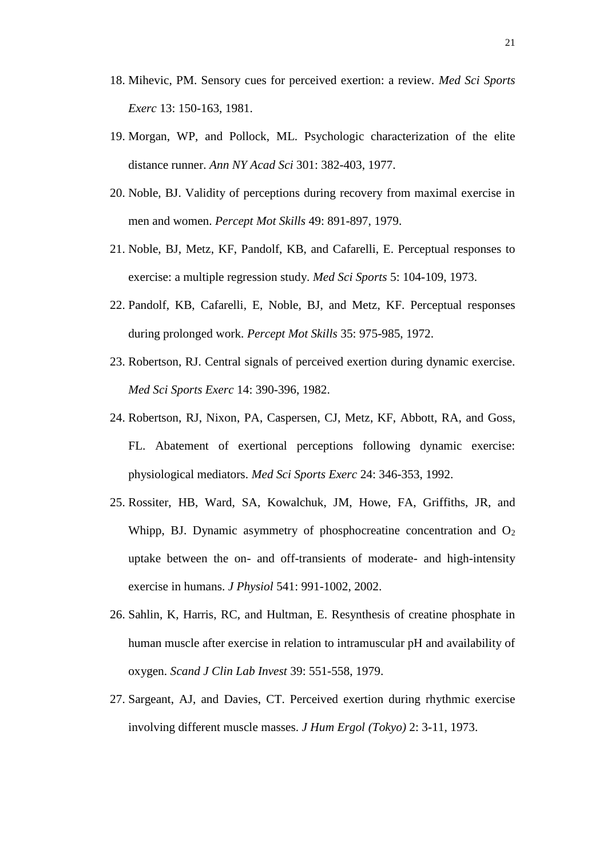- 18. Mihevic, PM. Sensory cues for perceived exertion: a review. *Med Sci Sports Exerc* 13: 150-163, 1981.
- 19. Morgan, WP, and Pollock, ML. Psychologic characterization of the elite distance runner. *Ann NY Acad Sci* 301: 382-403, 1977.
- 20. Noble, BJ. Validity of perceptions during recovery from maximal exercise in men and women. *Percept Mot Skills* 49: 891-897, 1979.
- 21. Noble, BJ, Metz, KF, Pandolf, KB, and Cafarelli, E. Perceptual responses to exercise: a multiple regression study. *Med Sci Sports* 5: 104-109, 1973.
- 22. Pandolf, KB, Cafarelli, E, Noble, BJ, and Metz, KF. Perceptual responses during prolonged work. *Percept Mot Skills* 35: 975-985, 1972.
- 23. Robertson, RJ. Central signals of perceived exertion during dynamic exercise. *Med Sci Sports Exerc* 14: 390-396, 1982.
- 24. Robertson, RJ, Nixon, PA, Caspersen, CJ, Metz, KF, Abbott, RA, and Goss, FL. Abatement of exertional perceptions following dynamic exercise: physiological mediators. *Med Sci Sports Exerc* 24: 346-353, 1992.
- 25. Rossiter, HB, Ward, SA, Kowalchuk, JM, Howe, FA, Griffiths, JR, and Whipp, BJ. Dynamic asymmetry of phosphocreatine concentration and  $O<sub>2</sub>$ uptake between the on- and off-transients of moderate- and high-intensity exercise in humans. *J Physiol* 541: 991-1002, 2002.
- 26. Sahlin, K, Harris, RC, and Hultman, E. Resynthesis of creatine phosphate in human muscle after exercise in relation to intramuscular pH and availability of oxygen. *Scand J Clin Lab Invest* 39: 551-558, 1979.
- 27. Sargeant, AJ, and Davies, CT. Perceived exertion during rhythmic exercise involving different muscle masses. *J Hum Ergol (Tokyo)* 2: 3-11, 1973.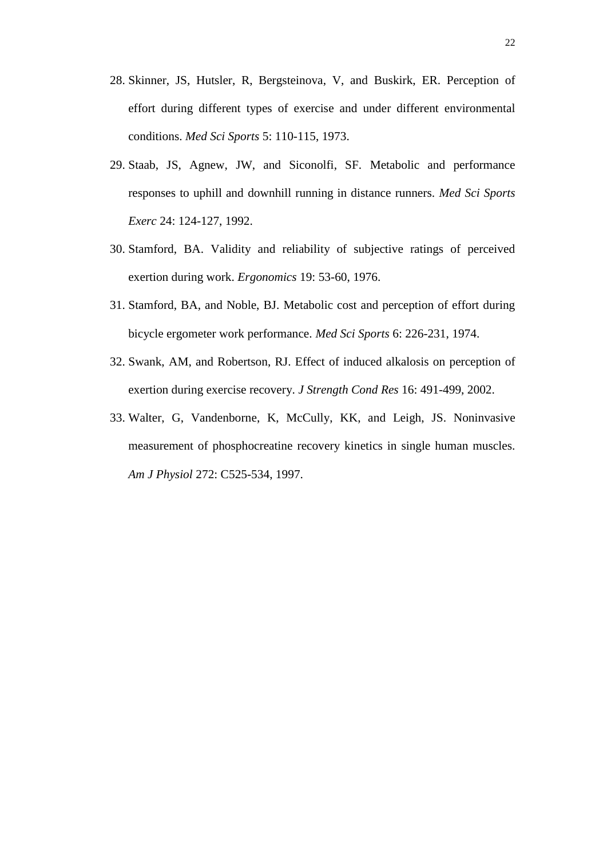- 28. Skinner, JS, Hutsler, R, Bergsteinova, V, and Buskirk, ER. Perception of effort during different types of exercise and under different environmental conditions. *Med Sci Sports* 5: 110-115, 1973.
- 29. Staab, JS, Agnew, JW, and Siconolfi, SF. Metabolic and performance responses to uphill and downhill running in distance runners. *Med Sci Sports Exerc* 24: 124-127, 1992.
- 30. Stamford, BA. Validity and reliability of subjective ratings of perceived exertion during work. *Ergonomics* 19: 53-60, 1976.
- 31. Stamford, BA, and Noble, BJ. Metabolic cost and perception of effort during bicycle ergometer work performance. *Med Sci Sports* 6: 226-231, 1974.
- 32. Swank, AM, and Robertson, RJ. Effect of induced alkalosis on perception of exertion during exercise recovery. *J Strength Cond Res* 16: 491-499, 2002.
- 33. Walter, G, Vandenborne, K, McCully, KK, and Leigh, JS. Noninvasive measurement of phosphocreatine recovery kinetics in single human muscles. *Am J Physiol* 272: C525-534, 1997.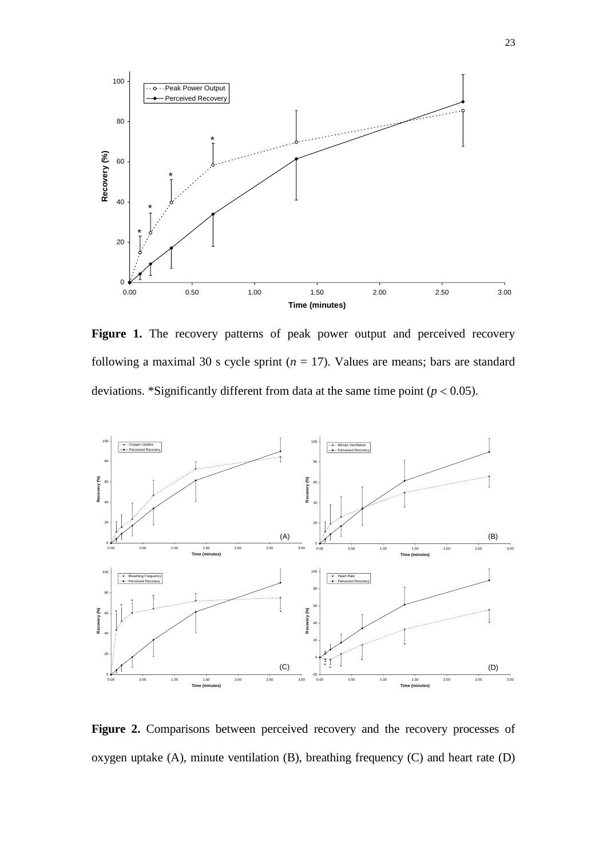

Figure 1. The recovery patterns of peak power output and perceived recovery following a maximal 30 s cycle sprint  $(n = 17)$ . Values are means; bars are standard deviations. \*Significantly different from data at the same time point  $(p < 0.05)$ .



**Figure 2.** Comparisons between perceived recovery and the recovery processes of oxygen uptake (A), minute ventilation (B), breathing frequency (C) and heart rate (D)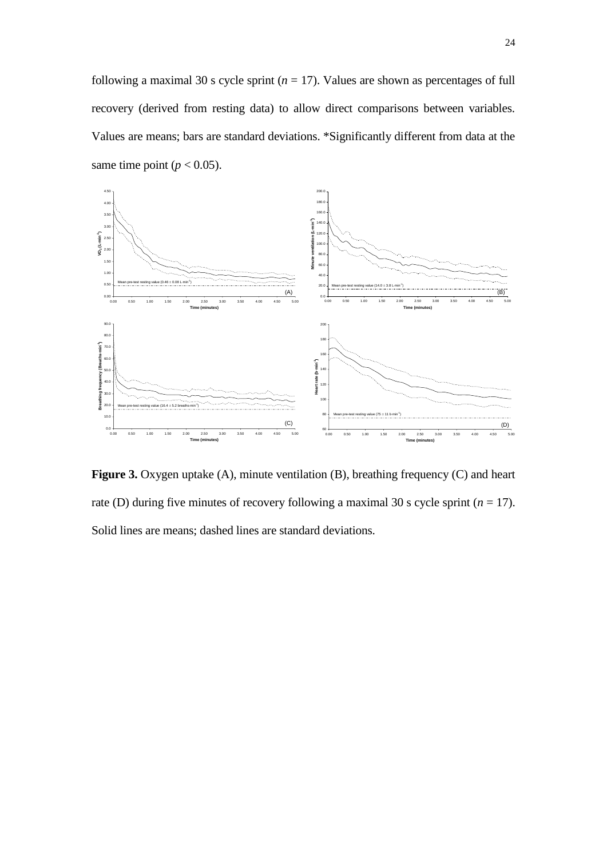following a maximal 30 s cycle sprint  $(n = 17)$ . Values are shown as percentages of full recovery (derived from resting data) to allow direct comparisons between variables. Values are means; bars are standard deviations. \*Significantly different from data at the same time point ( $p < 0.05$ ).



**Figure 3.** Oxygen uptake (A), minute ventilation (B), breathing frequency (C) and heart rate (D) during five minutes of recovery following a maximal 30 s cycle sprint  $(n = 17)$ . Solid lines are means; dashed lines are standard deviations.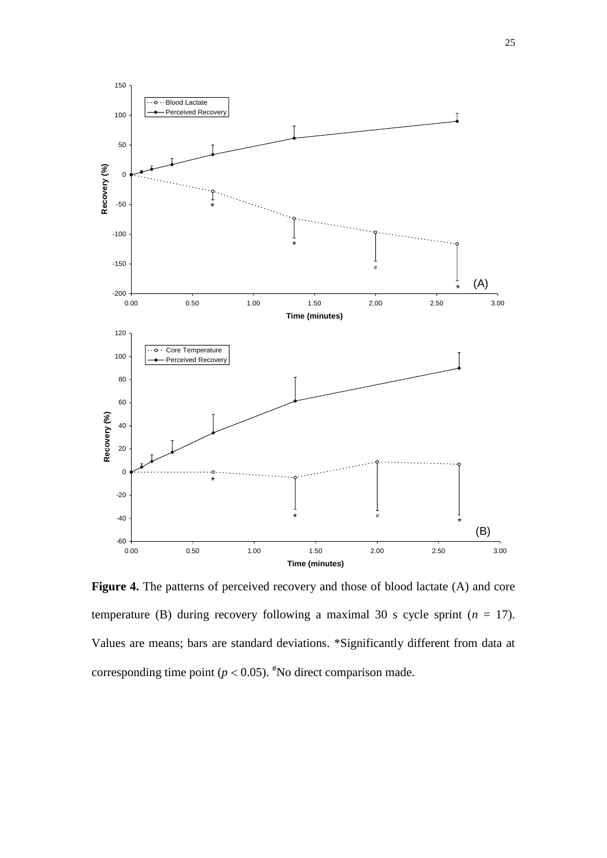

Figure 4. The patterns of perceived recovery and those of blood lactate (A) and core temperature (B) during recovery following a maximal 30 s cycle sprint  $(n = 17)$ . Values are means; bars are standard deviations. \*Significantly different from data at corresponding time point ( $p < 0.05$ ). <sup>#</sup>No direct comparison made.